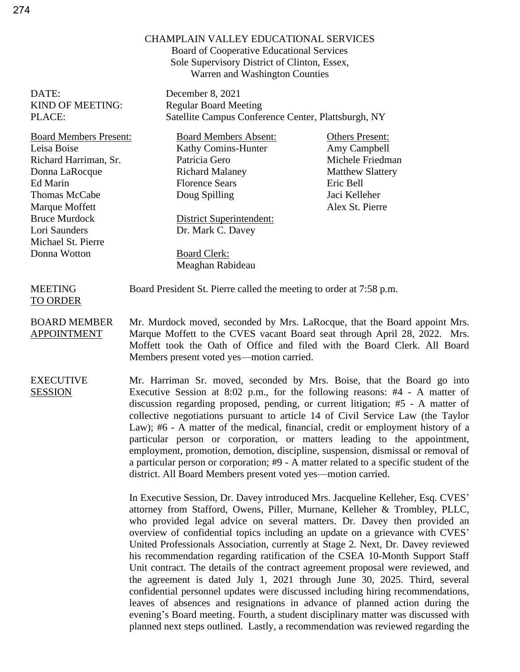## CHAMPLAIN VALLEY EDUCATIONAL SERVICES

Board of Cooperative Educational Services Sole Supervisory District of Clinton, Essex, Warren and Washington Counties

DATE: December 8, 2021 KIND OF MEETING: Regular Board Meeting PLACE: Satellite Campus Conference Center, Plattsburgh, NY

Board Members Present: Board Members Absent: Others Present: Leisa Boise Richard Harriman, Sr. Donna LaRocque Ed Marin Thomas McCabe Marque Moffett Bruce Murdock Lori Saunders Michael St. Pierre Donna Wotton

TO ORDER

Kathy Comins-Hunter Patricia Gero Richard Malaney Florence Sears Doug Spilling

District Superintendent: Dr. Mark C. Davey

Board Clerk:

Meaghan Rabideau

Amy Campbell Michele Friedman Matthew Slattery Eric Bell Jaci Kelleher Alex St. Pierre

MEETING Board President St. Pierre called the meeting to order at 7:58 p.m.

BOARD MEMBER APPOINTMENT Mr. Murdock moved, seconded by Mrs. LaRocque, that the Board appoint Mrs. Marque Moffett to the CVES vacant Board seat through April 28, 2022. Mrs. Moffett took the Oath of Office and filed with the Board Clerk. All Board Members present voted yes—motion carried.

EXECUTIVE SESSION Mr. Harriman Sr. moved, seconded by Mrs. Boise, that the Board go into Executive Session at 8:02 p.m., for the following reasons: #4 - A matter of discussion regarding proposed, pending, or current litigation; #5 - A matter of collective negotiations pursuant to article 14 of Civil Service Law (the Taylor Law); #6 - A matter of the medical, financial, credit or employment history of a particular person or corporation, or matters leading to the appointment, employment, promotion, demotion, discipline, suspension, dismissal or removal of a particular person or corporation; #9 - A matter related to a specific student of the district. All Board Members present voted yes—motion carried.

> In Executive Session, Dr. Davey introduced Mrs. Jacqueline Kelleher, Esq. CVES' attorney from Stafford, Owens, Piller, Murnane, Kelleher & Trombley, PLLC, who provided legal advice on several matters. Dr. Davey then provided an overview of confidential topics including an update on a grievance with CVES' United Professionals Association, currently at Stage 2. Next, Dr. Davey reviewed his recommendation regarding ratification of the CSEA 10-Month Support Staff Unit contract. The details of the contract agreement proposal were reviewed, and the agreement is dated July 1, 2021 through June 30, 2025. Third, several confidential personnel updates were discussed including hiring recommendations, leaves of absences and resignations in advance of planned action during the evening's Board meeting. Fourth, a student disciplinary matter was discussed with planned next steps outlined. Lastly, a recommendation was reviewed regarding the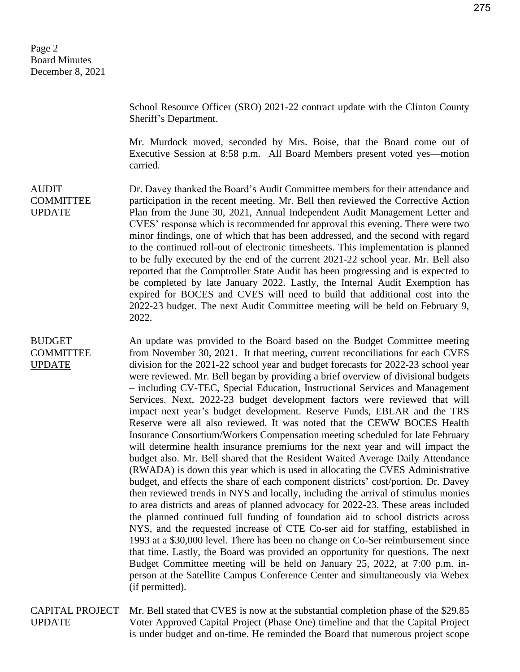AUDIT

BUDGET COMMITTEE UPDATE

COMMITTEE UPDATE

School Resource Officer (SRO) 2021-22 contract update with the Clinton County Sheriff's Department.

Mr. Murdock moved, seconded by Mrs. Boise, that the Board come out of Executive Session at 8:58 p.m. All Board Members present voted yes—motion carried.

Dr. Davey thanked the Board's Audit Committee members for their attendance and participation in the recent meeting. Mr. Bell then reviewed the Corrective Action Plan from the June 30, 2021, Annual Independent Audit Management Letter and CVES' response which is recommended for approval this evening. There were two minor findings, one of which that has been addressed, and the second with regard to the continued roll-out of electronic timesheets. This implementation is planned to be fully executed by the end of the current 2021-22 school year. Mr. Bell also reported that the Comptroller State Audit has been progressing and is expected to be completed by late January 2022. Lastly, the Internal Audit Exemption has expired for BOCES and CVES will need to build that additional cost into the 2022-23 budget. The next Audit Committee meeting will be held on February 9, 2022.

An update was provided to the Board based on the Budget Committee meeting from November 30, 2021. It that meeting, current reconciliations for each CVES division for the 2021-22 school year and budget forecasts for 2022-23 school year were reviewed. Mr. Bell began by providing a brief overview of divisional budgets – including CV-TEC, Special Education, Instructional Services and Management Services. Next, 2022-23 budget development factors were reviewed that will impact next year's budget development. Reserve Funds, EBLAR and the TRS Reserve were all also reviewed. It was noted that the CEWW BOCES Health Insurance Consortium/Workers Compensation meeting scheduled for late February will determine health insurance premiums for the next year and will impact the budget also. Mr. Bell shared that the Resident Waited Average Daily Attendance (RWADA) is down this year which is used in allocating the CVES Administrative budget, and effects the share of each component districts' cost/portion. Dr. Davey then reviewed trends in NYS and locally, including the arrival of stimulus monies to area districts and areas of planned advocacy for 2022-23. These areas included the planned continued full funding of foundation aid to school districts across NYS, and the requested increase of CTE Co-ser aid for staffing, established in 1993 at a \$30,000 level. There has been no change on Co-Ser reimbursement since that time. Lastly, the Board was provided an opportunity for questions. The next Budget Committee meeting will be held on January 25, 2022, at 7:00 p.m. inperson at the Satellite Campus Conference Center and simultaneously via Webex (if permitted).

CAPITAL PROJECT UPDATE Mr. Bell stated that CVES is now at the substantial completion phase of the \$29.85 Voter Approved Capital Project (Phase One) timeline and that the Capital Project is under budget and on-time. He reminded the Board that numerous project scope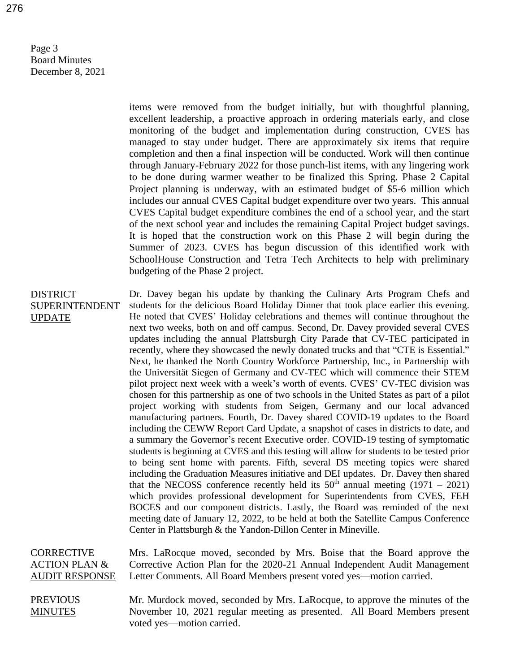Page 3 Board Minutes December 8, 2021

AUDIT RESPONSE

items were removed from the budget initially, but with thoughtful planning, excellent leadership, a proactive approach in ordering materials early, and close monitoring of the budget and implementation during construction, CVES has managed to stay under budget. There are approximately six items that require completion and then a final inspection will be conducted. Work will then continue through January-February 2022 for those punch-list items, with any lingering work to be done during warmer weather to be finalized this Spring. Phase 2 Capital Project planning is underway, with an estimated budget of \$5-6 million which includes our annual CVES Capital budget expenditure over two years. This annual CVES Capital budget expenditure combines the end of a school year, and the start of the next school year and includes the remaining Capital Project budget savings. It is hoped that the construction work on this Phase 2 will begin during the Summer of 2023. CVES has begun discussion of this identified work with SchoolHouse Construction and Tetra Tech Architects to help with preliminary budgeting of the Phase 2 project.

DISTRICT SUPERINTENDENT UPDATE Dr. Davey began his update by thanking the Culinary Arts Program Chefs and students for the delicious Board Holiday Dinner that took place earlier this evening. He noted that CVES' Holiday celebrations and themes will continue throughout the next two weeks, both on and off campus. Second, Dr. Davey provided several CVES updates including the annual Plattsburgh City Parade that CV-TEC participated in recently, where they showcased the newly donated trucks and that "CTE is Essential." Next, he thanked the North Country Workforce Partnership, Inc., in Partnership with the Universität Siegen of Germany and CV-TEC which will commence their STEM pilot project next week with a week's worth of events. CVES' CV-TEC division was chosen for this partnership as one of two schools in the United States as part of a pilot project working with students from Seigen, Germany and our local advanced manufacturing partners. Fourth, Dr. Davey shared COVID-19 updates to the Board including the CEWW Report Card Update, a snapshot of cases in districts to date, and a summary the Governor's recent Executive order. COVID-19 testing of symptomatic students is beginning at CVES and this testing will allow for students to be tested prior to being sent home with parents. Fifth, several DS meeting topics were shared including the Graduation Measures initiative and DEI updates. Dr. Davey then shared that the NECOSS conference recently held its  $50<sup>th</sup>$  annual meeting (1971 – 2021) which provides professional development for Superintendents from CVES, FEH BOCES and our component districts. Lastly, the Board was reminded of the next meeting date of January 12, 2022, to be held at both the Satellite Campus Conference Center in Plattsburgh & the Yandon-Dillon Center in Mineville. **CORRECTIVE** ACTION PLAN & Mrs. LaRocque moved, seconded by Mrs. Boise that the Board approve the Corrective Action Plan for the 2020-21 Annual Independent Audit Management

PREVIOUS **MINUTES** Mr. Murdock moved, seconded by Mrs. LaRocque, to approve the minutes of the November 10, 2021 regular meeting as presented. All Board Members present voted yes—motion carried.

Letter Comments. All Board Members present voted yes—motion carried.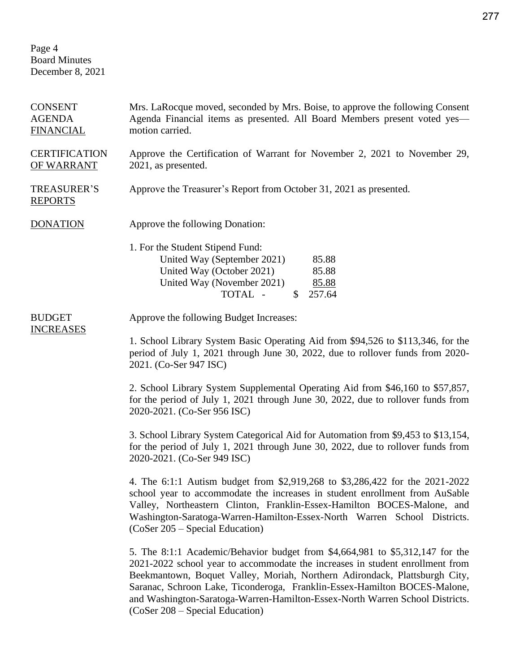Page 4 Board Minutes December 8, 2021

| <b>CONSENT</b><br><b>AGENDA</b><br><b>FINANCIAL</b> | Mrs. LaRocque moved, seconded by Mrs. Boise, to approve the following Consent<br>Agenda Financial items as presented. All Board Members present voted yes-<br>motion carried.                                                                                                                                                                                                                                                                  |
|-----------------------------------------------------|------------------------------------------------------------------------------------------------------------------------------------------------------------------------------------------------------------------------------------------------------------------------------------------------------------------------------------------------------------------------------------------------------------------------------------------------|
| <b>CERTIFICATION</b><br>OF WARRANT                  | Approve the Certification of Warrant for November 2, 2021 to November 29,<br>2021, as presented.                                                                                                                                                                                                                                                                                                                                               |
| <b>TREASURER'S</b><br><b>REPORTS</b>                | Approve the Treasurer's Report from October 31, 2021 as presented.                                                                                                                                                                                                                                                                                                                                                                             |
| <b>DONATION</b>                                     | Approve the following Donation:                                                                                                                                                                                                                                                                                                                                                                                                                |
|                                                     | 1. For the Student Stipend Fund:<br>United Way (September 2021)<br>85.88<br>United Way (October 2021)<br>85.88<br>United Way (November 2021)<br>85.88<br>TOTAL -<br>257.64<br>$\mathbb{S}$                                                                                                                                                                                                                                                     |
| <b>BUDGET</b><br><b>INCREASES</b>                   | Approve the following Budget Increases:                                                                                                                                                                                                                                                                                                                                                                                                        |
|                                                     | 1. School Library System Basic Operating Aid from \$94,526 to \$113,346, for the<br>period of July 1, 2021 through June 30, 2022, due to rollover funds from 2020-<br>2021. (Co-Ser 947 ISC)                                                                                                                                                                                                                                                   |
|                                                     | 2. School Library System Supplemental Operating Aid from \$46,160 to \$57,857,<br>for the period of July 1, 2021 through June 30, 2022, due to rollover funds from<br>2020-2021. (Co-Ser 956 ISC)                                                                                                                                                                                                                                              |
|                                                     | 3. School Library System Categorical Aid for Automation from \$9,453 to \$13,154,<br>for the period of July 1, 2021 through June 30, 2022, due to rollover funds from<br>2020-2021. (Co-Ser 949 ISC)                                                                                                                                                                                                                                           |
|                                                     | 4. The 6:1:1 Autism budget from \$2,919,268 to \$3,286,422 for the 2021-2022<br>school year to accommodate the increases in student enrollment from AuSable<br>Valley, Northeastern Clinton, Franklin-Essex-Hamilton BOCES-Malone, and<br>Washington-Saratoga-Warren-Hamilton-Essex-North Warren School Districts.<br>(CoSer 205 – Special Education)                                                                                          |
|                                                     | 5. The 8:1:1 Academic/Behavior budget from \$4,664,981 to \$5,312,147 for the<br>2021-2022 school year to accommodate the increases in student enrollment from<br>Beekmantown, Boquet Valley, Moriah, Northern Adirondack, Plattsburgh City,<br>Saranac, Schroon Lake, Ticonderoga, Franklin-Essex-Hamilton BOCES-Malone,<br>and Washington-Saratoga-Warren-Hamilton-Essex-North Warren School Districts.<br>$(CoSer 208 - Special Education)$ |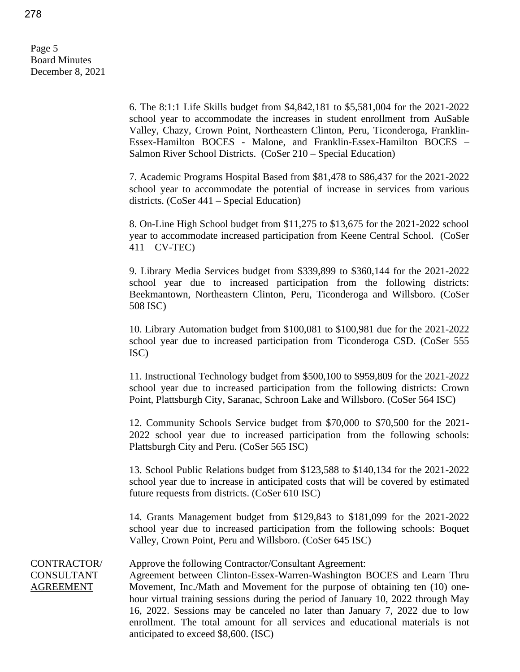Page 5 Board Minutes December 8, 2021

> 6. The 8:1:1 Life Skills budget from \$4,842,181 to \$5,581,004 for the 2021-2022 school year to accommodate the increases in student enrollment from AuSable Valley, Chazy, Crown Point, Northeastern Clinton, Peru, Ticonderoga, Franklin-Essex-Hamilton BOCES - Malone, and Franklin-Essex-Hamilton BOCES – Salmon River School Districts. (CoSer 210 – Special Education)

> 7. Academic Programs Hospital Based from \$81,478 to \$86,437 for the 2021-2022 school year to accommodate the potential of increase in services from various districts. (CoSer 441 – Special Education)

> 8. On-Line High School budget from \$11,275 to \$13,675 for the 2021-2022 school year to accommodate increased participation from Keene Central School. (CoSer  $411 - CV-TEC$

> 9. Library Media Services budget from \$339,899 to \$360,144 for the 2021-2022 school year due to increased participation from the following districts: Beekmantown, Northeastern Clinton, Peru, Ticonderoga and Willsboro. (CoSer 508 ISC)

> 10. Library Automation budget from \$100,081 to \$100,981 due for the 2021-2022 school year due to increased participation from Ticonderoga CSD. (CoSer 555 ISC)

> 11. Instructional Technology budget from \$500,100 to \$959,809 for the 2021-2022 school year due to increased participation from the following districts: Crown Point, Plattsburgh City, Saranac, Schroon Lake and Willsboro. (CoSer 564 ISC)

> 12. Community Schools Service budget from \$70,000 to \$70,500 for the 2021- 2022 school year due to increased participation from the following schools: Plattsburgh City and Peru. (CoSer 565 ISC)

> 13. School Public Relations budget from \$123,588 to \$140,134 for the 2021-2022 school year due to increase in anticipated costs that will be covered by estimated future requests from districts. (CoSer 610 ISC)

> 14. Grants Management budget from \$129,843 to \$181,099 for the 2021-2022 school year due to increased participation from the following schools: Boquet Valley, Crown Point, Peru and Willsboro. (CoSer 645 ISC)

CONTRACTOR/ CONSULTANT AGREEMENT

## Approve the following Contractor/Consultant Agreement:

Agreement between Clinton-Essex-Warren-Washington BOCES and Learn Thru Movement, Inc./Math and Movement for the purpose of obtaining ten (10) onehour virtual training sessions during the period of January 10, 2022 through May 16, 2022. Sessions may be canceled no later than January 7, 2022 due to low enrollment. The total amount for all services and educational materials is not anticipated to exceed \$8,600. (ISC)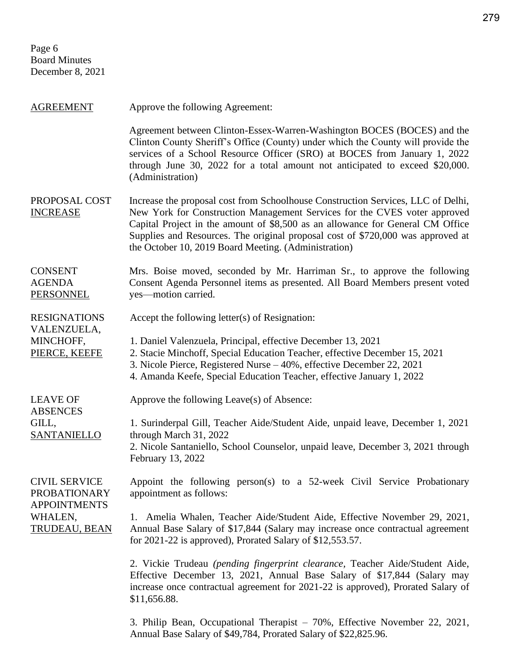Page 6 Board Minutes December 8, 2021

AGREEMENT Approve the following Agreement: Agreement between Clinton-Essex-Warren-Washington BOCES (BOCES) and the Clinton County Sheriff's Office (County) under which the County will provide the services of a School Resource Officer (SRO) at BOCES from January 1, 2022 through June 30, 2022 for a total amount not anticipated to exceed \$20,000. (Administration) PROPOSAL COST INCREASE Increase the proposal cost from Schoolhouse Construction Services, LLC of Delhi, New York for Construction Management Services for the CVES voter approved Capital Project in the amount of \$8,500 as an allowance for General CM Office Supplies and Resources. The original proposal cost of \$720,000 was approved at the October 10, 2019 Board Meeting. (Administration) **CONSENT** AGENDA PERSONNEL Mrs. Boise moved, seconded by Mr. Harriman Sr., to approve the following Consent Agenda Personnel items as presented. All Board Members present voted yes—motion carried. RESIGNATIONS VALENZUELA, MINCHOFF, PIERCE, KEEFE Accept the following letter(s) of Resignation: 1. Daniel Valenzuela, Principal, effective December 13, 2021 2. Stacie Minchoff, Special Education Teacher, effective December 15, 2021 3. Nicole Pierce, Registered Nurse – 40%, effective December 22, 2021 4. Amanda Keefe, Special Education Teacher, effective January 1, 2022 LEAVE OF **ABSENCES** GILL, SANTANIELLO Approve the following Leave(s) of Absence: 1. Surinderpal Gill, Teacher Aide/Student Aide, unpaid leave, December 1, 2021 through March 31, 2022 2. Nicole Santaniello, School Counselor, unpaid leave, December 3, 2021 through February 13, 2022 CIVIL SERVICE PROBATIONARY APPOINTMENTS WHALEN, TRUDEAU, BEAN Appoint the following person(s) to a 52-week Civil Service Probationary appointment as follows: 1. Amelia Whalen, Teacher Aide/Student Aide, Effective November 29, 2021, Annual Base Salary of \$17,844 (Salary may increase once contractual agreement for 2021-22 is approved), Prorated Salary of \$12,553.57. 2. Vickie Trudeau *(pending fingerprint clearance,* Teacher Aide/Student Aide, Effective December 13, 2021, Annual Base Salary of \$17,844 (Salary may increase once contractual agreement for 2021-22 is approved), Prorated Salary of \$11,656.88.

> 3. Philip Bean, Occupational Therapist – 70%, Effective November 22, 2021, Annual Base Salary of \$49,784, Prorated Salary of \$22,825.96.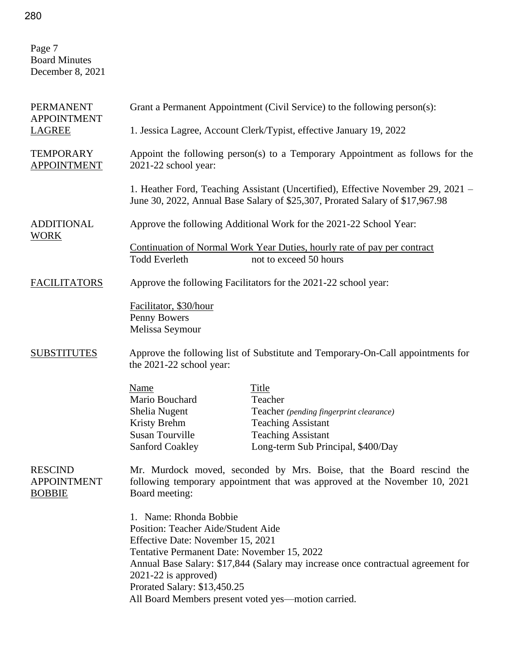| Page 7<br><b>Board Minutes</b><br>December 8, 2021    |                                                                                                                                                                                                                                                                    |                                                                                                                                                                   |  |
|-------------------------------------------------------|--------------------------------------------------------------------------------------------------------------------------------------------------------------------------------------------------------------------------------------------------------------------|-------------------------------------------------------------------------------------------------------------------------------------------------------------------|--|
| <b>PERMANENT</b><br><b>APPOINTMENT</b><br>LAGREE      |                                                                                                                                                                                                                                                                    | Grant a Permanent Appointment (Civil Service) to the following person(s):                                                                                         |  |
|                                                       |                                                                                                                                                                                                                                                                    | 1. Jessica Lagree, Account Clerk/Typist, effective January 19, 2022                                                                                               |  |
| <b>TEMPORARY</b><br><b>APPOINTMENT</b>                | Appoint the following person(s) to a Temporary Appointment as follows for the<br>2021-22 school year:                                                                                                                                                              |                                                                                                                                                                   |  |
|                                                       |                                                                                                                                                                                                                                                                    | 1. Heather Ford, Teaching Assistant (Uncertified), Effective November 29, 2021 –<br>June 30, 2022, Annual Base Salary of \$25,307, Prorated Salary of \$17,967.98 |  |
| <b>ADDITIONAL</b><br><b>WORK</b>                      |                                                                                                                                                                                                                                                                    | Approve the following Additional Work for the 2021-22 School Year:                                                                                                |  |
|                                                       | <b>Todd Everleth</b>                                                                                                                                                                                                                                               | Continuation of Normal Work Year Duties, hourly rate of pay per contract<br>not to exceed 50 hours                                                                |  |
| <b>FACILITATORS</b>                                   |                                                                                                                                                                                                                                                                    | Approve the following Facilitators for the 2021-22 school year:                                                                                                   |  |
|                                                       | Facilitator, \$30/hour<br>Penny Bowers<br>Melissa Seymour                                                                                                                                                                                                          |                                                                                                                                                                   |  |
| <b>SUBSTITUTES</b>                                    | Approve the following list of Substitute and Temporary-On-Call appointments for<br>the 2021-22 school year:                                                                                                                                                        |                                                                                                                                                                   |  |
|                                                       | Name<br>Mario Bouchard<br>Shelia Nugent<br>Kristy Brehm<br><b>Susan Tourville</b><br><b>Sanford Coakley</b>                                                                                                                                                        | Title<br>Teacher<br>Teacher (pending fingerprint clearance)<br><b>Teaching Assistant</b><br><b>Teaching Assistant</b><br>Long-term Sub Principal, \$400/Day       |  |
| <b>RESCIND</b><br><b>APPOINTMENT</b><br><b>BOBBIE</b> | Board meeting:                                                                                                                                                                                                                                                     | Mr. Murdock moved, seconded by Mrs. Boise, that the Board rescind the<br>following temporary appointment that was approved at the November 10, 2021               |  |
|                                                       | 1. Name: Rhonda Bobbie<br>Position: Teacher Aide/Student Aide<br>Effective Date: November 15, 2021<br>Tentative Permanent Date: November 15, 2022<br>$2021-22$ is approved)<br>Prorated Salary: \$13,450.25<br>All Board Members present voted yes—motion carried. | Annual Base Salary: \$17,844 (Salary may increase once contractual agreement for                                                                                  |  |

280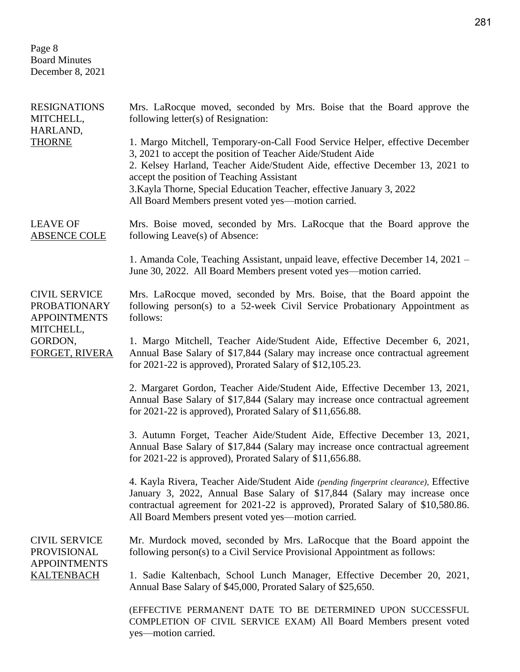Page 8 Board Minutes December 8, 2021

| <b>RESIGNATIONS</b><br>MITCHELL,<br>HARLAND,                                                                 | Mrs. LaRocque moved, seconded by Mrs. Boise that the Board approve the<br>following letter(s) of Resignation:                                                                                                                                                                                                                                                                                            |
|--------------------------------------------------------------------------------------------------------------|----------------------------------------------------------------------------------------------------------------------------------------------------------------------------------------------------------------------------------------------------------------------------------------------------------------------------------------------------------------------------------------------------------|
| <b>THORNE</b>                                                                                                | 1. Margo Mitchell, Temporary-on-Call Food Service Helper, effective December<br>3, 2021 to accept the position of Teacher Aide/Student Aide<br>2. Kelsey Harland, Teacher Aide/Student Aide, effective December 13, 2021 to<br>accept the position of Teaching Assistant<br>3. Kayla Thorne, Special Education Teacher, effective January 3, 2022<br>All Board Members present voted yes—motion carried. |
| <b>LEAVE OF</b><br><b>ABSENCE COLE</b>                                                                       | Mrs. Boise moved, seconded by Mrs. LaRocque that the Board approve the<br>following Leave(s) of Absence:                                                                                                                                                                                                                                                                                                 |
|                                                                                                              | 1. Amanda Cole, Teaching Assistant, unpaid leave, effective December 14, 2021 –<br>June 30, 2022. All Board Members present voted yes—motion carried.                                                                                                                                                                                                                                                    |
| <b>CIVIL SERVICE</b><br><b>PROBATIONARY</b><br><b>APPOINTMENTS</b><br>MITCHELL,<br>GORDON,<br>FORGET, RIVERA | Mrs. LaRocque moved, seconded by Mrs. Boise, that the Board appoint the<br>following person(s) to a 52-week Civil Service Probationary Appointment as<br>follows:                                                                                                                                                                                                                                        |
|                                                                                                              | 1. Margo Mitchell, Teacher Aide/Student Aide, Effective December 6, 2021,<br>Annual Base Salary of \$17,844 (Salary may increase once contractual agreement<br>for $2021-22$ is approved), Prorated Salary of \$12,105.23.                                                                                                                                                                               |
|                                                                                                              | 2. Margaret Gordon, Teacher Aide/Student Aide, Effective December 13, 2021,<br>Annual Base Salary of \$17,844 (Salary may increase once contractual agreement<br>for $2021-22$ is approved), Prorated Salary of \$11,656.88.                                                                                                                                                                             |
|                                                                                                              | 3. Autumn Forget, Teacher Aide/Student Aide, Effective December 13, 2021,<br>Annual Base Salary of \$17,844 (Salary may increase once contractual agreement<br>for $2021-22$ is approved), Prorated Salary of \$11,656.88.                                                                                                                                                                               |
|                                                                                                              | 4. Kayla Rivera, Teacher Aide/Student Aide (pending fingerprint clearance), Effective<br>January 3, 2022, Annual Base Salary of \$17,844 (Salary may increase once<br>contractual agreement for 2021-22 is approved), Prorated Salary of \$10,580.86.<br>All Board Members present voted yes-motion carried.                                                                                             |
| <b>CIVIL SERVICE</b><br><b>PROVISIONAL</b><br><b>APPOINTMENTS</b><br><b>KALTENBACH</b>                       | Mr. Murdock moved, seconded by Mrs. LaRocque that the Board appoint the<br>following person(s) to a Civil Service Provisional Appointment as follows:                                                                                                                                                                                                                                                    |
|                                                                                                              | 1. Sadie Kaltenbach, School Lunch Manager, Effective December 20, 2021,<br>Annual Base Salary of \$45,000, Prorated Salary of \$25,650.                                                                                                                                                                                                                                                                  |
|                                                                                                              | (EFFECTIVE PERMANENT DATE TO BE DETERMINED UPON SUCCESSFUL<br>COMPLETION OF CIVIL SERVICE EXAM) All Board Members present voted<br>yes-motion carried.                                                                                                                                                                                                                                                   |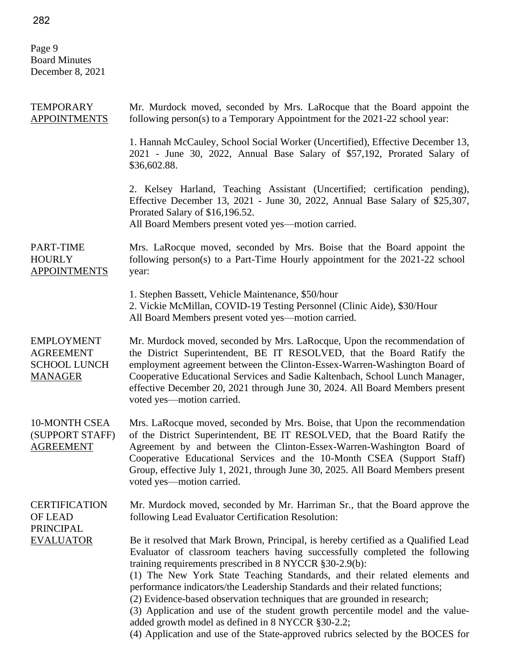Page 9 Board Minutes December 8, 2021

| <b>TEMPORARY</b><br><b>APPOINTMENTS</b>                                        | Mr. Murdock moved, seconded by Mrs. LaRocque that the Board appoint the<br>following person(s) to a Temporary Appointment for the 2021-22 school year:                                                                                                                                                                                                                                                                                                                                                                                                                                                                                                                                         |
|--------------------------------------------------------------------------------|------------------------------------------------------------------------------------------------------------------------------------------------------------------------------------------------------------------------------------------------------------------------------------------------------------------------------------------------------------------------------------------------------------------------------------------------------------------------------------------------------------------------------------------------------------------------------------------------------------------------------------------------------------------------------------------------|
|                                                                                | 1. Hannah McCauley, School Social Worker (Uncertified), Effective December 13,<br>2021 - June 30, 2022, Annual Base Salary of \$57,192, Prorated Salary of<br>\$36,602.88.                                                                                                                                                                                                                                                                                                                                                                                                                                                                                                                     |
|                                                                                | 2. Kelsey Harland, Teaching Assistant (Uncertified; certification pending),<br>Effective December 13, 2021 - June 30, 2022, Annual Base Salary of \$25,307,<br>Prorated Salary of \$16,196.52.<br>All Board Members present voted yes—motion carried.                                                                                                                                                                                                                                                                                                                                                                                                                                          |
| PART-TIME<br><b>HOURLY</b><br><b>APPOINTMENTS</b>                              | Mrs. LaRocque moved, seconded by Mrs. Boise that the Board appoint the<br>following person(s) to a Part-Time Hourly appointment for the 2021-22 school<br>year:                                                                                                                                                                                                                                                                                                                                                                                                                                                                                                                                |
|                                                                                | 1. Stephen Bassett, Vehicle Maintenance, \$50/hour<br>2. Vickie McMillan, COVID-19 Testing Personnel (Clinic Aide), \$30/Hour<br>All Board Members present voted yes—motion carried.                                                                                                                                                                                                                                                                                                                                                                                                                                                                                                           |
| <b>EMPLOYMENT</b><br><b>AGREEMENT</b><br><b>SCHOOL LUNCH</b><br><b>MANAGER</b> | Mr. Murdock moved, seconded by Mrs. LaRocque, Upon the recommendation of<br>the District Superintendent, BE IT RESOLVED, that the Board Ratify the<br>employment agreement between the Clinton-Essex-Warren-Washington Board of<br>Cooperative Educational Services and Sadie Kaltenbach, School Lunch Manager,<br>effective December 20, 2021 through June 30, 2024. All Board Members present<br>voted yes-motion carried.                                                                                                                                                                                                                                                                   |
| <b>10-MONTH CSEA</b><br>(SUPPORT STAFF)<br><b>AGREEMENT</b>                    | Mrs. LaRocque moved, seconded by Mrs. Boise, that Upon the recommendation<br>of the District Superintendent, BE IT RESOLVED, that the Board Ratify the<br>Agreement by and between the Clinton-Essex-Warren-Washington Board of<br>Cooperative Educational Services and the 10-Month CSEA (Support Staff)<br>Group, effective July 1, 2021, through June 30, 2025. All Board Members present<br>voted yes-motion carried.                                                                                                                                                                                                                                                                      |
| <b>CERTIFICATION</b><br><b>OF LEAD</b>                                         | Mr. Murdock moved, seconded by Mr. Harriman Sr., that the Board approve the<br>following Lead Evaluator Certification Resolution:                                                                                                                                                                                                                                                                                                                                                                                                                                                                                                                                                              |
| <b>PRINCIPAL</b><br><b>EVALUATOR</b>                                           | Be it resolved that Mark Brown, Principal, is hereby certified as a Qualified Lead<br>Evaluator of classroom teachers having successfully completed the following<br>training requirements prescribed in 8 NYCCR §30-2.9(b):<br>(1) The New York State Teaching Standards, and their related elements and<br>performance indicators/the Leadership Standards and their related functions;<br>(2) Evidence-based observation techniques that are grounded in research;<br>(3) Application and use of the student growth percentile model and the value-<br>added growth model as defined in 8 NYCCR §30-2.2;<br>(4) Application and use of the State-approved rubrics selected by the BOCES for |

282